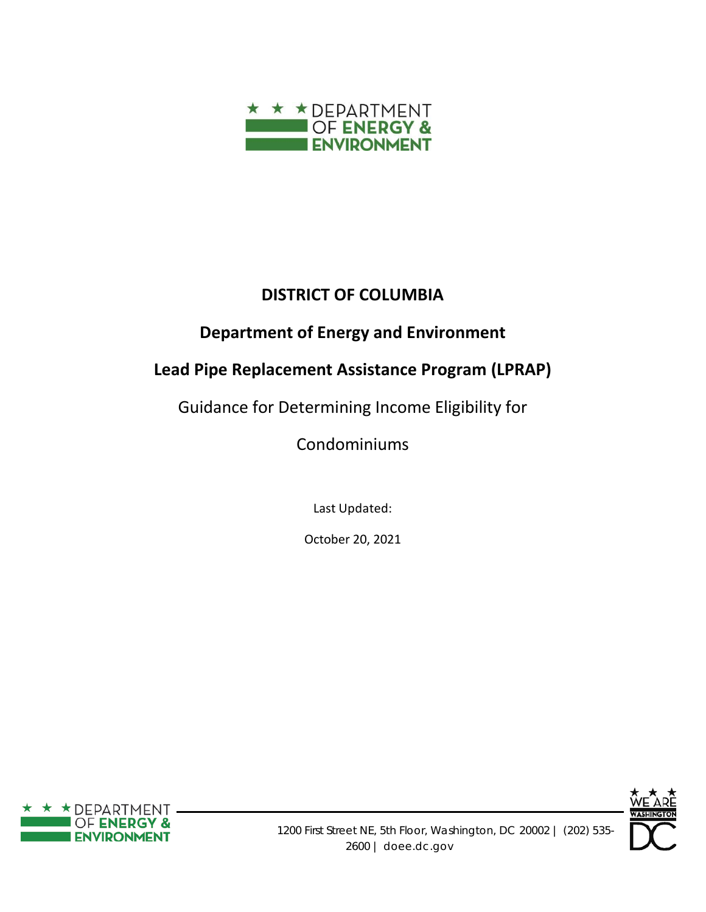

# **DISTRICT OF COLUMBIA**

# **Department of Energy and Environment**

# **Lead Pipe Replacement Assistance Program (LPRAP)**

Guidance for Determining Income Eligibility for

Condominiums

Last Updated:

October 20, 2021



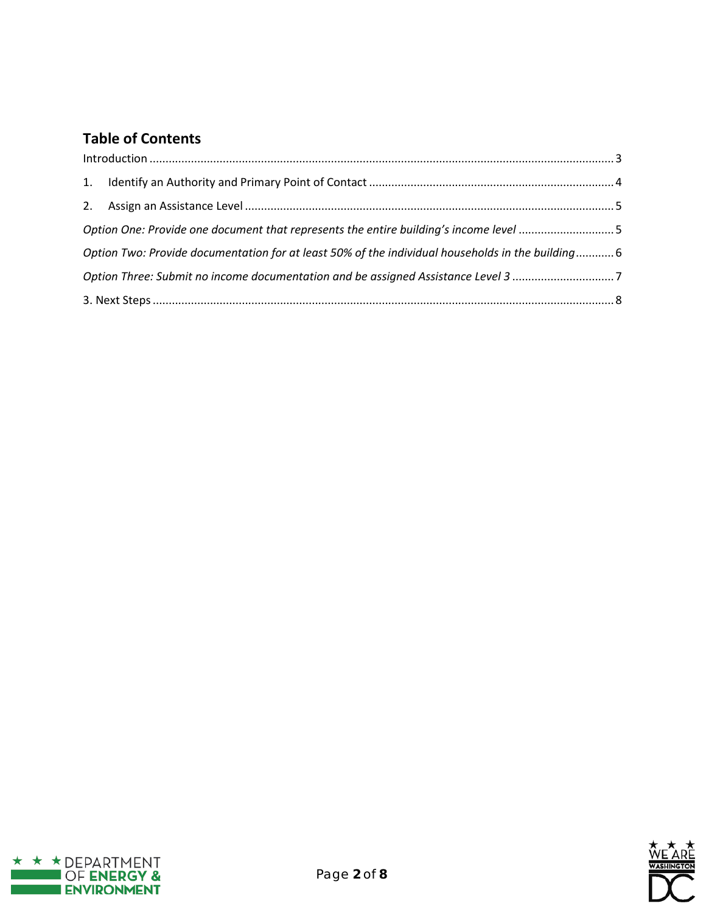# **Table of Contents**

|    | $\label{eq:1} \mbox{Introduction} \,\, \ldots \,\, \ldots \,\, \ldots \,\, \ldots \,\, \ldots \,\, \ldots \,\, \ldots \,\, \ldots \,\, \ldots \,\, \ldots \,\, \ldots \,\, \ldots \,\, \ldots \,\, \ldots \,\, \ldots \,\, \ldots \,\, \ldots \,\, \ldots \,\, \ldots \,\, \ldots \,\, \ldots \,\, \ldots \,\, \ldots \,\, \ldots \,\, \ldots \,\, \ldots \,\, \ldots \,\, \ldots \,\, \ldots \,\, \ldots \,\, \ldots \,\, \ldots \,\, \ldots \,\, \ldots \,\,$ |  |
|----|-----------------------------------------------------------------------------------------------------------------------------------------------------------------------------------------------------------------------------------------------------------------------------------------------------------------------------------------------------------------------------------------------------------------------------------------------------------------|--|
| 1. |                                                                                                                                                                                                                                                                                                                                                                                                                                                                 |  |
| 2. |                                                                                                                                                                                                                                                                                                                                                                                                                                                                 |  |
|    | Option One: Provide one document that represents the entire building's income level 5                                                                                                                                                                                                                                                                                                                                                                           |  |
|    | Option Two: Provide documentation for at least 50% of the individual households in the building 6                                                                                                                                                                                                                                                                                                                                                               |  |
|    | Option Three: Submit no income documentation and be assigned Assistance Level 3 7                                                                                                                                                                                                                                                                                                                                                                               |  |
|    |                                                                                                                                                                                                                                                                                                                                                                                                                                                                 |  |



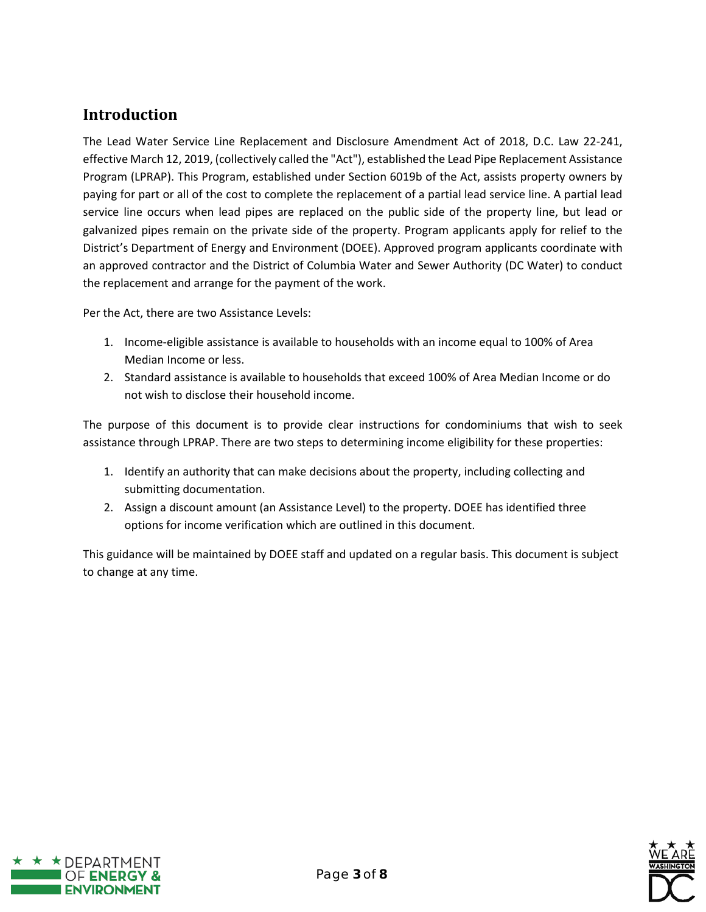#### <span id="page-2-0"></span>**Introduction**

The Lead Water Service Line Replacement and Disclosure Amendment Act of 2018, D.C. Law 22-241, effective March 12, 2019, (collectively called the "Act"), established the Lead Pipe Replacement Assistance Program (LPRAP). This Program, established under Section 6019b of the Act, assists property owners by paying for part or all of the cost to complete the replacement of a partial lead service line. A partial lead service line occurs when lead pipes are replaced on the public side of the property line, but lead or galvanized pipes remain on the private side of the property. Program applicants apply for relief to the District's Department of Energy and Environment (DOEE). Approved program applicants coordinate with an approved contractor and the District of Columbia Water and Sewer Authority (DC Water) to conduct the replacement and arrange for the payment of the work.

Per the Act, there are two Assistance Levels:

- 1. Income-eligible assistance is available to households with an income equal to 100% of Area Median Income or less.
- 2. Standard assistance is available to households that exceed 100% of Area Median Income or do not wish to disclose their household income.

The purpose of this document is to provide clear instructions for condominiums that wish to seek assistance through LPRAP. There are two steps to determining income eligibility for these properties:

- 1. Identify an authority that can make decisions about the property, including collecting and submitting documentation.
- 2. Assign a discount amount (an Assistance Level) to the property. DOEE has identified three options for income verification which are outlined in this document.

This guidance will be maintained by DOEE staff and updated on a regular basis. This document is subject to change at any time.



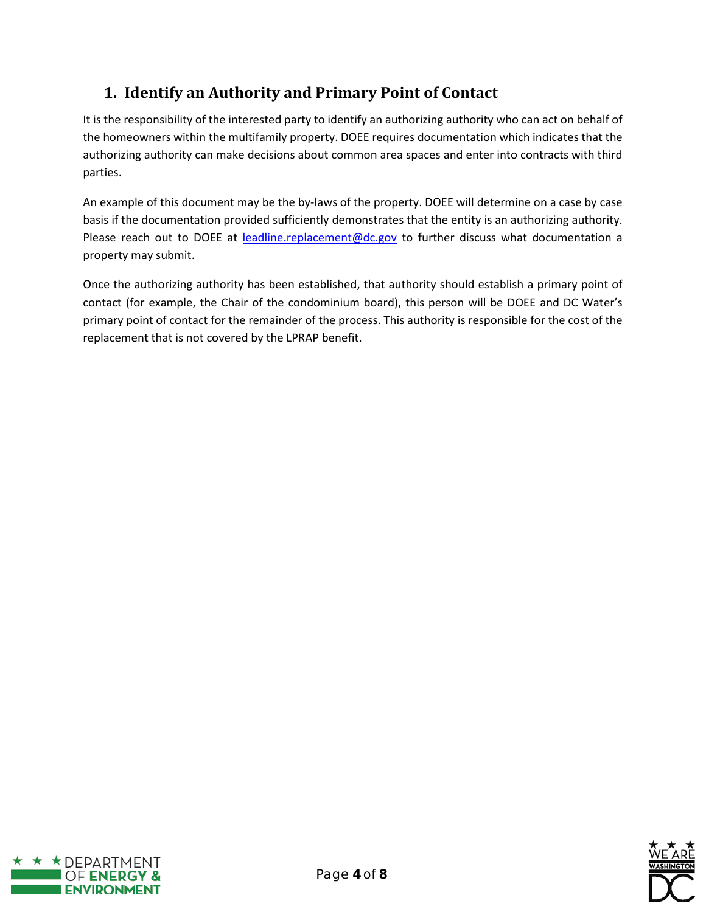# <span id="page-3-0"></span>**1. Identify an Authority and Primary Point of Contact**

It is the responsibility of the interested party to identify an authorizing authority who can act on behalf of the homeowners within the multifamily property. DOEE requires documentation which indicates that the authorizing authority can make decisions about common area spaces and enter into contracts with third parties.

An example of this document may be the by-laws of the property. DOEE will determine on a case by case basis if the documentation provided sufficiently demonstrates that the entity is an authorizing authority. Please reach out to DOEE at [leadline.replacement@dc.gov](mailto:leadline.replacement@dc.gov) to further discuss what documentation a property may submit.

Once the authorizing authority has been established, that authority should establish a primary point of contact (for example, the Chair of the condominium board), this person will be DOEE and DC Water's primary point of contact for the remainder of the process. This authority is responsible for the cost of the replacement that is not covered by the LPRAP benefit.



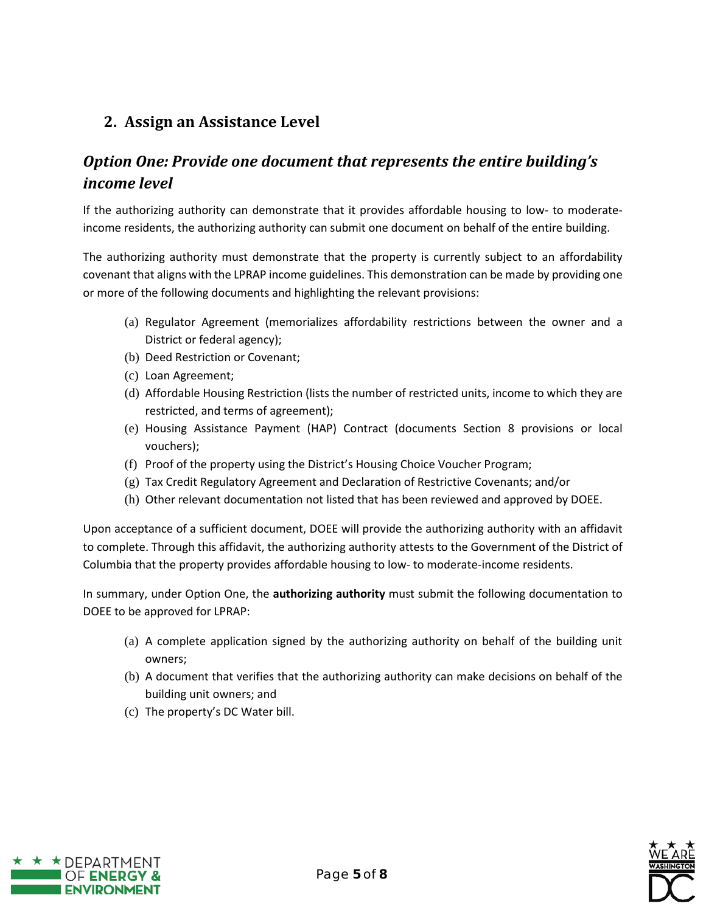#### <span id="page-4-0"></span>**2. Assign an Assistance Level**

### <span id="page-4-1"></span>*Option One: Provide one document that represents the entire building's income level*

If the authorizing authority can demonstrate that it provides affordable housing to low- to moderateincome residents, the authorizing authority can submit one document on behalf of the entire building.

The authorizing authority must demonstrate that the property is currently subject to an affordability covenant that aligns with th[e LPRAP income guidelines.](https://doee.dc.gov/node/1451331) This demonstration can be made by providing one or more of the following documents and highlighting the relevant provisions:

- (a) Regulator Agreement (memorializes affordability restrictions between the owner and a District or federal agency);
- (b) Deed Restriction or Covenant;
- (c) Loan Agreement;
- (d) Affordable Housing Restriction (lists the number of restricted units, income to which they are restricted, and terms of agreement);
- (e) Housing Assistance Payment (HAP) Contract (documents Section 8 provisions or local vouchers);
- (f) Proof of the property using the District's Housing Choice Voucher Program;
- (g) Tax Credit Regulatory Agreement and Declaration of Restrictive Covenants; and/or
- (h) Other relevant documentation not listed that has been reviewed and approved by DOEE.

Upon acceptance of a sufficient document, DOEE will provide the authorizing authority with an affidavit to complete. Through this affidavit, the authorizing authority attests to the Government of the District of Columbia that the property provides affordable housing to low- to moderate-income residents.

In summary, under Option One, the **authorizing authority** must submit the following documentation to DOEE to be approved for LPRAP:

- (a) A complete application signed by the authorizing authority on behalf of the building unit owners;
- (b) A document that verifies that the authorizing authority can make decisions on behalf of the building unit owners; and
- (c) The property's DC Water bill.

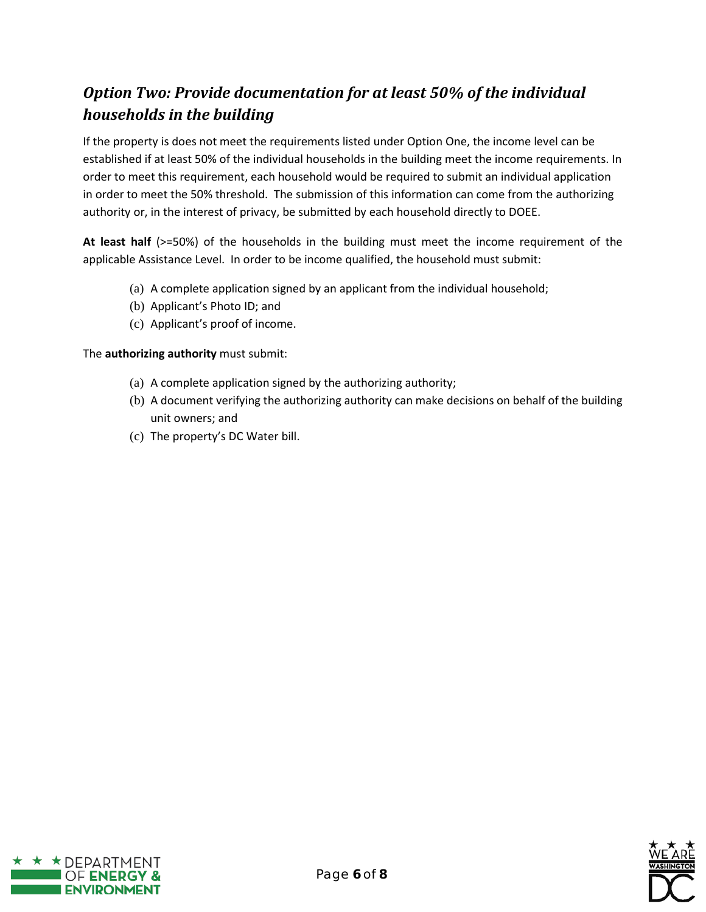# <span id="page-5-0"></span>*Option Two: Provide documentation for at least 50% of the individual households in the building*

If the property is does not meet the requirements listed under Option One, the income level can be established if at least 50% of the individual households in the building meet the income requirements. In order to meet this requirement, each household would be required to submit an individual application in order to meet the 50% threshold. The submission of this information can come from the authorizing authority or, in the interest of privacy, be submitted by each household directly to DOEE.

**At least half** (>=50%) of the households in the building must meet the income requirement of the applicable Assistance Level. In order to be income qualified, the household must submit:

- (a) A complete application signed by an applicant from the individual household;
- (b) Applicant's Photo ID; and
- (c) Applicant's proof of income.

#### The **authorizing authority** must submit:

- (a) A complete application signed by the authorizing authority;
- (b) A document verifying the authorizing authority can make decisions on behalf of the building unit owners; and
- (c) The property's DC Water bill.



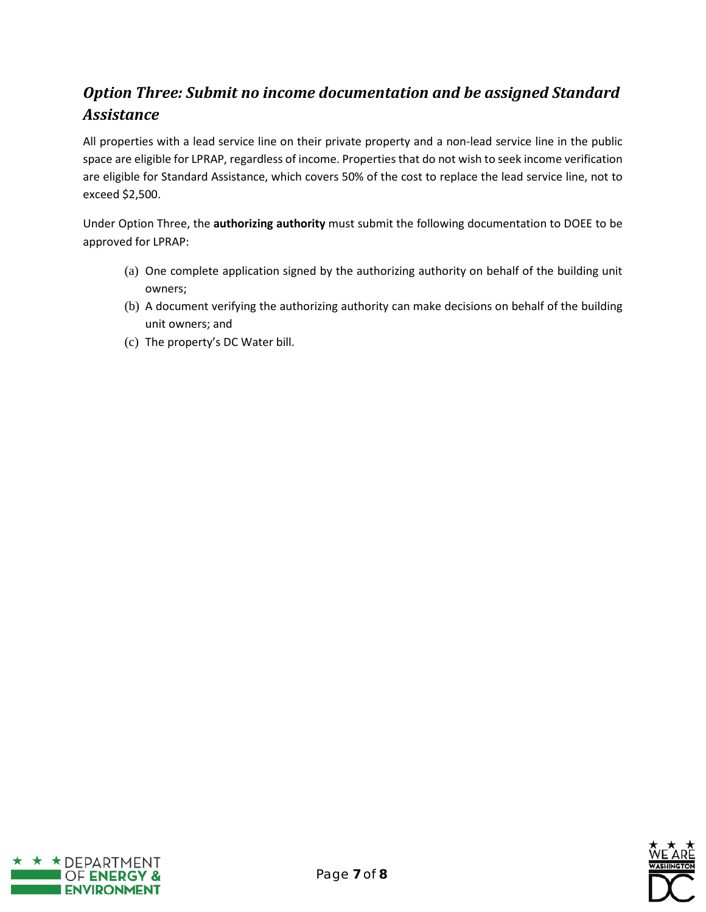# <span id="page-6-0"></span>*Option Three: Submit no income documentation and be assigned Standard Assistance*

All properties with a lead service line on their private property and a non-lead service line in the public space are eligible for LPRAP, regardless of income. Properties that do not wish to seek income verification are eligible for Standard Assistance, which covers 50% of the cost to replace the lead service line, not to exceed \$2,500.

Under Option Three, the **authorizing authority** must submit the following documentation to DOEE to be approved for LPRAP:

- (a) One complete application signed by the authorizing authority on behalf of the building unit owners;
- (b) A document verifying the authorizing authority can make decisions on behalf of the building unit owners; and
- (c) The property's DC Water bill.